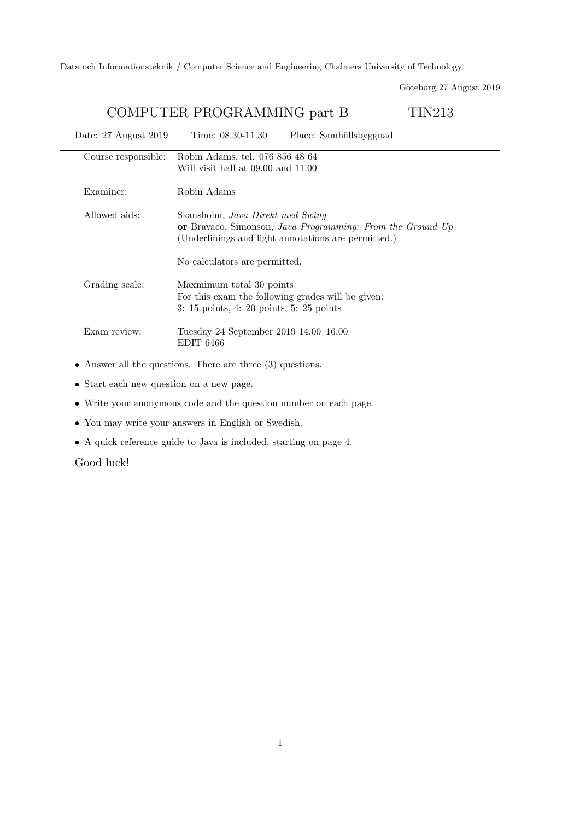Data och Informationsteknik / Computer Science and Engineering Chalmers University of Technology

Göteborg 27 August 2019

## COMPUTER PROGRAMMING part B TIN213

| Date: 27 August 2019 | Time: $08.30 - 11.30$<br>Place: Samhällsbyggnad                                                                                                                                        |
|----------------------|----------------------------------------------------------------------------------------------------------------------------------------------------------------------------------------|
| Course responsible:  | Robin Adams, tel. 076 856 48 64<br>Will visit hall at 09.00 and 11.00                                                                                                                  |
| Examiner:            | Robin Adams                                                                                                                                                                            |
| Allowed aids:        | Skansholm, Java Direkt med Swing<br>or Bravaco, Simonson, Java Programming: From the Ground Up<br>(Underlinings and light annotations are permitted.)<br>No calculators are permitted. |
| Grading scale:       | Maxmimum total 30 points<br>For this exam the following grades will be given:<br>$3: 15 \text{ points}, 4: 20 \text{ points}, 5: 25 \text{ points}$                                    |
| Exam review:         | Tuesday 24 September 2019 14.00–16.00<br><b>EDIT 6466</b>                                                                                                                              |

- Answer all the questions. There are three (3) questions.
- Start each new question on a new page.
- Write your anonymous code and the question number on each page.
- You may write your answers in English or Swedish.
- A quick reference guide to Java is included, starting on page 4.

Good luck!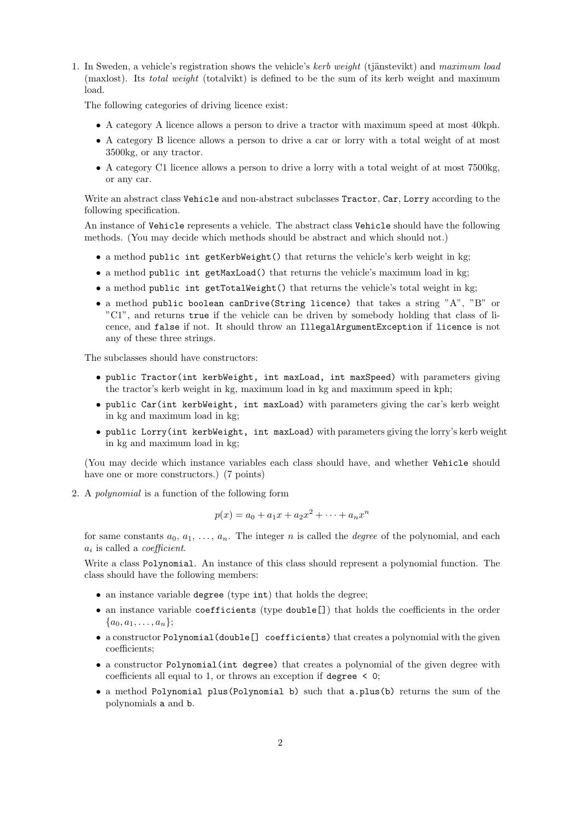1. In Sweden, a vehicle's registration shows the vehicle's kerb weight (tjänstevikt) and maximum load (maxlost). Its total weight (totalvikt) is defined to be the sum of its kerb weight and maximum load.

The following categories of driving licence exist:

- A category A licence allows a person to drive a tractor with maximum speed at most 40kph.
- A category B licence allows a person to drive a car or lorry with a total weight of at most 3500kg, or any tractor.
- A category C1 licence allows a person to drive a lorry with a total weight of at most 7500kg, or any car.

Write an abstract class Vehicle and non-abstract subclasses Tractor, Car, Lorry according to the following specification.

An instance of Vehicle represents a vehicle. The abstract class Vehicle should have the following methods. (You may decide which methods should be abstract and which should not.)

- a method public int getKerbWeight() that returns the vehicle's kerb weight in kg;
- a method public int getMaxLoad() that returns the vehicle's maximum load in kg;
- a method public int getTotalWeight() that returns the vehicle's total weight in kg;
- a method public boolean canDrive(String licence) that takes a string "A", "B" or "C1", and returns true if the vehicle can be driven by somebody holding that class of licence, and false if not. It should throw an IllegalArgumentException if licence is not any of these three strings.

The subclasses should have constructors:

- public Tractor(int kerbWeight, int maxLoad, int maxSpeed) with parameters giving the tractor's kerb weight in kg, maximum load in kg and maximum speed in kph;
- public Car(int kerbWeight, int maxLoad) with parameters giving the car's kerb weight in kg and maximum load in kg;
- public Lorry(int kerbWeight, int maxLoad) with parameters giving the lorry's kerb weight in kg and maximum load in kg;

(You may decide which instance variables each class should have, and whether Vehicle should have one or more constructors.) (7 points)

2. A polynomial is a function of the following form

$$
p(x) = a_0 + a_1x + a_2x^2 + \dots + a_nx^n
$$

for same constants  $a_0, a_1, \ldots, a_n$ . The integer n is called the *degree* of the polynomial, and each  $a_i$  is called a *coefficient*.

Write a class Polynomial. An instance of this class should represent a polynomial function. The class should have the following members:

- an instance variable degree (type int) that holds the degree;
- an instance variable coefficients (type double[]) that holds the coefficients in the order  $\{a_0, a_1, \ldots, a_n\};$
- a constructor Polynomial(double[] coefficients) that creates a polynomial with the given coefficients;
- a constructor Polynomial(int degree) that creates a polynomial of the given degree with coefficients all equal to 1, or throws an exception if degree < 0;
- a method Polynomial plus(Polynomial b) such that a.plus(b) returns the sum of the polynomials a and b.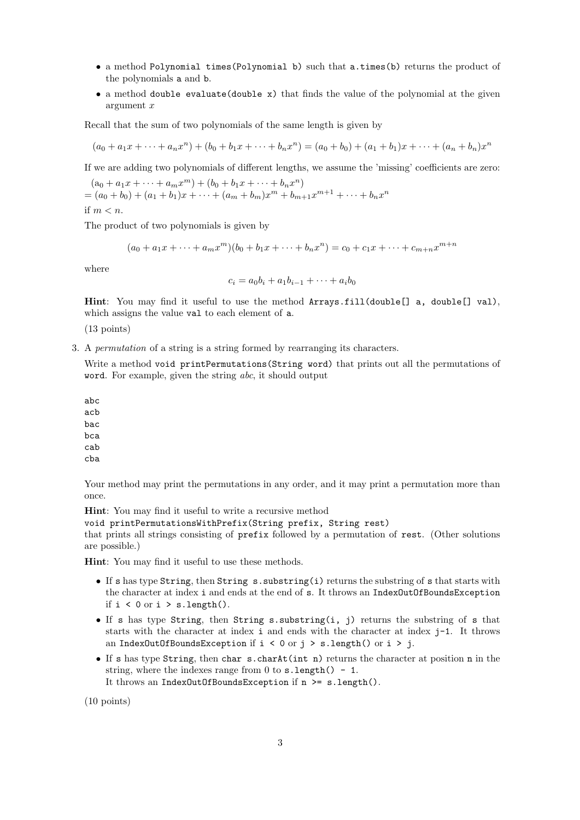- a method Polynomial times(Polynomial b) such that a.times(b) returns the product of the polynomials a and b.
- a method double evaluate(double x) that finds the value of the polynomial at the given argument x

Recall that the sum of two polynomials of the same length is given by

$$
(a_0 + a_1x + \dots + a_nx^n) + (b_0 + b_1x + \dots + b_nx^n) = (a_0 + b_0) + (a_1 + b_1)x + \dots + (a_n + b_n)x^n
$$

If we are adding two polynomials of different lengths, we assume the 'missing' coefficients are zero:

 $(a_0 + a_1x + \cdots + a_mx^m) + (b_0 + b_1x + \cdots + b_nx^n)$  $=(a_0+b_0)+(a_1+b_1)x+\cdots+(a_m+b_m)x^m+b_{m+1}x^{m+1}+\cdots+b_nx^n$ if  $m < n$ .

The product of two polynomials is given by

$$
(a_0 + a_1x + \dots + a_mx^m)(b_0 + b_1x + \dots + b_nx^n) = c_0 + c_1x + \dots + c_{m+n}x^{m+n}
$$

where

$$
c_i = a_0b_i + a_1b_{i-1} + \cdots + a_ib_0
$$

Hint: You may find it useful to use the method Arrays.fill(double[] a, double[] val), which assigns the value val to each element of a.

(13 points)

3. A permutation of a string is a string formed by rearranging its characters.

Write a method void printPermutations (String word) that prints out all the permutations of word. For example, given the string abc, it should output

abc acb bac bca cab

cba

Your method may print the permutations in any order, and it may print a permutation more than once.

Hint: You may find it useful to write a recursive method

void printPermutationsWithPrefix(String prefix, String rest)

that prints all strings consisting of prefix followed by a permutation of rest. (Other solutions are possible.)

Hint: You may find it useful to use these methods.

- If s has type String, then String s.substring(i) returns the substring of s that starts with the character at index i and ends at the end of s. It throws an IndexOutOfBoundsException if  $i < 0$  or  $i > s.length()$ .
- If s has type String, then String s.substring(i, j) returns the substring of s that starts with the character at index  $i$  and ends with the character at index  $j-1$ . It throws an IndexOutOfBoundsException if  $i < 0$  or  $j > s.length()$  or  $i > j$ .
- If s has type String, then char s.charAt(int n) returns the character at position n in the string, where the indexes range from  $0$  to  $s.length() - 1$ . It throws an IndexOutOfBoundsException if n >= s.length().

(10 points)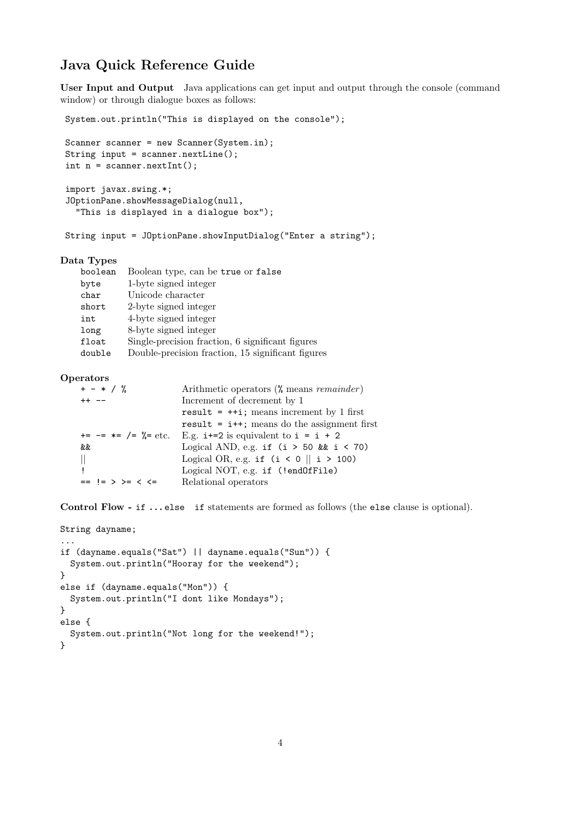## Java Quick Reference Guide

User Input and Output Java applications can get input and output through the console (command window) or through dialogue boxes as follows:

```
System.out.println("This is displayed on the console");
```

```
Scanner scanner = new Scanner(System.in);
String input = scanner.nextLine();
int n = scanner.nextInt();
```

```
import javax.swing.*;
JOptionPane.showMessageDialog(null,
 "This is displayed in a dialogue box");
```
String input = JOptionPane.showInputDialog("Enter a string");

## Data Types

| boolean | Boolean type, can be true or false                |
|---------|---------------------------------------------------|
| byte    | 1-byte signed integer                             |
| char    | Unicode character                                 |
| short   | 2-byte signed integer                             |
| int     | 4-byte signed integer                             |
| long    | 8-byte signed integer                             |
| float   | Single-precision fraction, 6 significant figures  |
| double  | Double-precision fraction, 15 significant figures |

## **Operators**

| $+ - * / \%$                  | Arithmetic operators $(\%$ means <i>remainder</i> ) |
|-------------------------------|-----------------------------------------------------|
| $++ --$                       | Increment of decrement by 1                         |
|                               | result = $++i$ ; means increment by 1 first         |
|                               | result = $i$ ++; means do the assignment first      |
| $+=$ $==$ $*=$ $/=$ $%=$ etc. | E.g. $i+=2$ is equivalent to $i = i + 2$            |
| &&                            | Logical AND, e.g. if $(i > 50$ & $i < 70$ )         |
|                               | Logical OR, e.g. if $(i < 0 \parallel i > 100)$     |
|                               | Logical NOT, e.g. if (!endOfFile)                   |
| $==$ != > >= < <=             | Relational operators                                |

Control Flow - if ... else if statements are formed as follows (the else clause is optional).

```
String dayname;
...
if (dayname.equals("Sat") || dayname.equals("Sun")) {
 System.out.println("Hooray for the weekend");
}
else if (dayname.equals("Mon")) {
 System.out.println("I dont like Mondays");
}
else {
  System.out.println("Not long for the weekend!");
}
```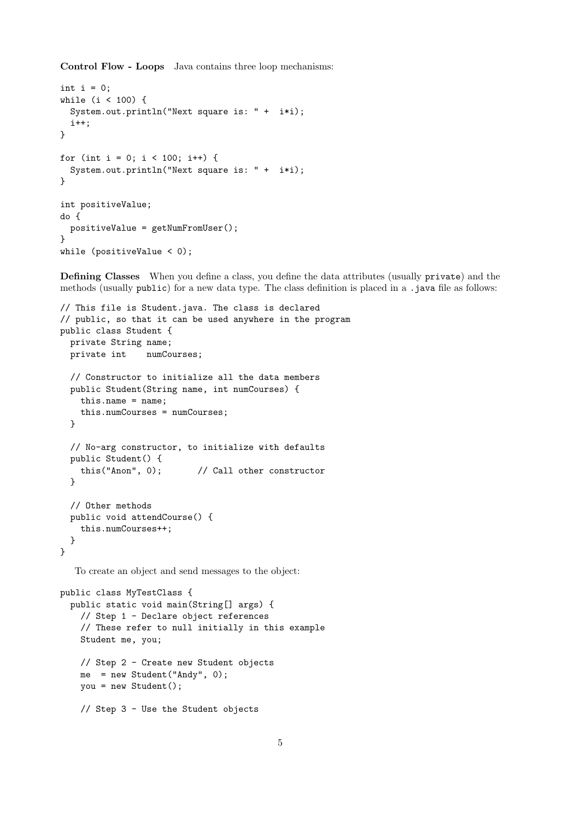Control Flow - Loops Java contains three loop mechanisms:

```
int i = 0;
while (i < 100) {
 System.out.println("Next square is: " + i*i);
  i++;
}
for (int i = 0; i < 100; i++) {
  System.out.println("Next square is: " + i*i);
}
int positiveValue;
do {
 positiveValue = getNumFromUser();
}
while (positiveValue < 0);
```
Defining Classes When you define a class, you define the data attributes (usually private) and the methods (usually public) for a new data type. The class definition is placed in a .java file as follows:

```
// This file is Student.java. The class is declared
// public, so that it can be used anywhere in the program
public class Student {
 private String name;
 private int numCourses;
  // Constructor to initialize all the data members
 public Student(String name, int numCourses) {
   this.name = name;
    this.numCourses = numCourses;
  }
  // No-arg constructor, to initialize with defaults
  public Student() {
   this("Anon", 0); // Call other constructor
  }
  // Other methods
  public void attendCourse() {
   this.numCourses++;
  }
}
```
To create an object and send messages to the object:

```
public class MyTestClass {
 public static void main(String[] args) {
   // Step 1 - Declare object references
   // These refer to null initially in this example
   Student me, you;
   // Step 2 - Create new Student objects
   me = new Student("Andy", 0);
   you = new Student();
   // Step 3 - Use the Student objects
```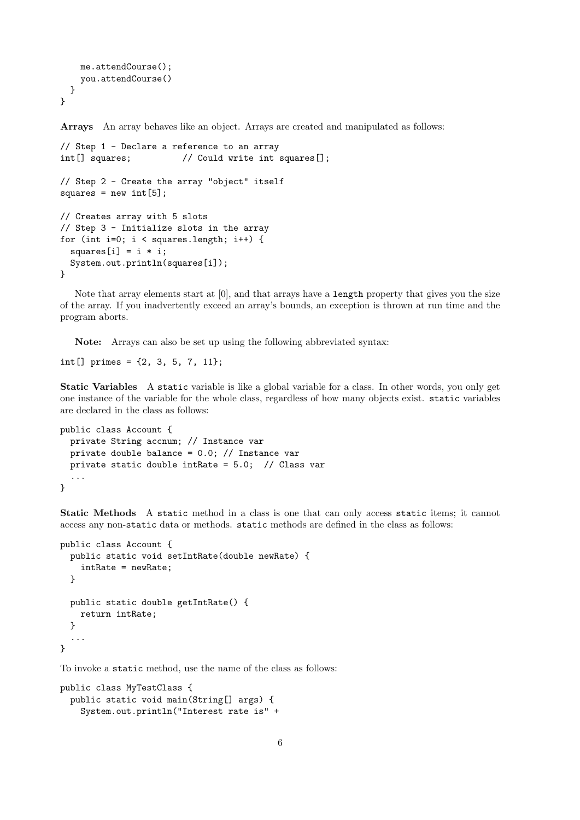```
me.attendCourse();
   you.attendCourse()
 }
}
```
Arrays An array behaves like an object. Arrays are created and manipulated as follows:

```
// Step 1 - Declare a reference to an array
int[] squares; // Could write int squares[];
// Step 2 - Create the array "object" itself
squares = new int[5];
// Creates array with 5 slots
// Step 3 - Initialize slots in the array
for (int i=0; i < squares.length; i++) {
 squares[i] = i * i;System.out.println(squares[i]);
}
```
Note that array elements start at [0], and that arrays have a length property that gives you the size of the array. If you inadvertently exceed an array's bounds, an exception is thrown at run time and the program aborts.

Note: Arrays can also be set up using the following abbreviated syntax:

```
int[] primes = {2, 3, 5, 7, 11};
```
Static Variables A static variable is like a global variable for a class. In other words, you only get one instance of the variable for the whole class, regardless of how many objects exist. static variables are declared in the class as follows:

```
public class Account {
 private String accnum; // Instance var
  private double balance = 0.0; // Instance var
 private static double intRate = 5.0; // Class var
  ...
}
```
Static Methods A static method in a class is one that can only access static items; it cannot access any non-static data or methods. static methods are defined in the class as follows:

```
public class Account {
 public static void setIntRate(double newRate) {
    intRate = newRate;
 }
 public static double getIntRate() {
   return intRate;
 }
  ...
}
```
To invoke a static method, use the name of the class as follows:

```
public class MyTestClass {
 public static void main(String[] args) {
   System.out.println("Interest rate is" +
```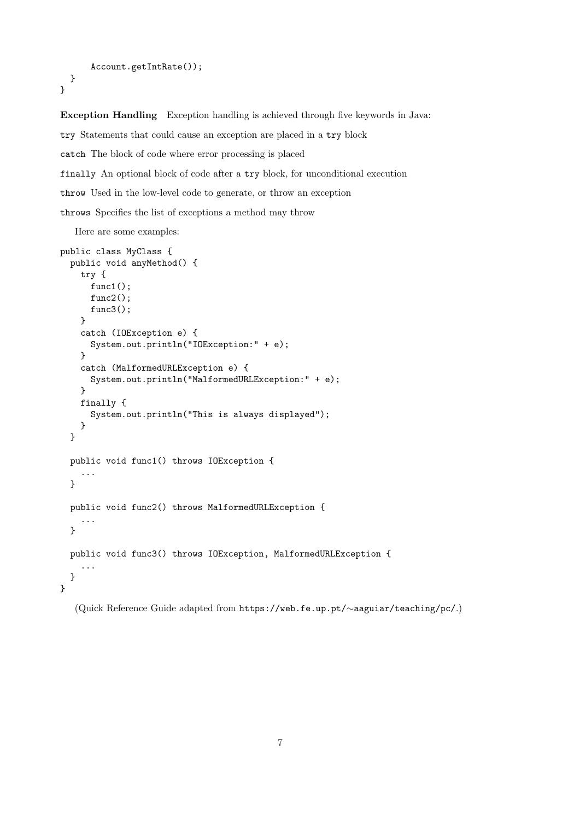```
Account.getIntRate());
 }
}
```
Exception Handling Exception handling is achieved through five keywords in Java: try Statements that could cause an exception are placed in a try block

catch The block of code where error processing is placed

finally An optional block of code after a try block, for unconditional execution

throw Used in the low-level code to generate, or throw an exception

throws Specifies the list of exceptions a method may throw

Here are some examples:

```
public class MyClass {
 public void anyMethod() {
   try {
      func1();
      func2();
      func3();
   }
    catch (IOException e) {
      System.out.println("IOException:" + e);
   }
   catch (MalformedURLException e) {
      System.out.println("MalformedURLException:" + e);
   }
   finally {
      System.out.println("This is always displayed");
   }
  }
  public void func1() throws IOException {
    ...
  }
  public void func2() throws MalformedURLException {
    ...
  }
  public void func3() throws IOException, MalformedURLException {
    ...
  }
}
```
(Quick Reference Guide adapted from https://web.fe.up.pt/∼aaguiar/teaching/pc/.)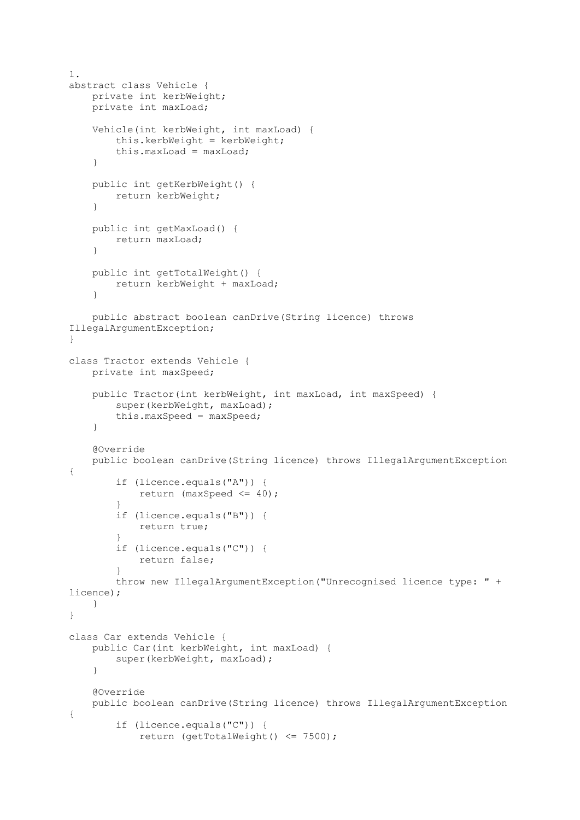```
1.
abstract class Vehicle {
     private int kerbWeight;
     private int maxLoad;
     Vehicle(int kerbWeight, int maxLoad) {
         this.kerbWeight = kerbWeight;
         this.maxLoad = maxLoad;
     }
     public int getKerbWeight() {
        return kerbWeight;
     }
     public int getMaxLoad() {
        return maxLoad;
     }
     public int getTotalWeight() {
        return kerbWeight + maxLoad;
     }
     public abstract boolean canDrive(String licence) throws 
IllegalArgumentException;
}
class Tractor extends Vehicle {
     private int maxSpeed;
     public Tractor(int kerbWeight, int maxLoad, int maxSpeed) {
         super(kerbWeight, maxLoad);
         this.maxSpeed = maxSpeed;
     }
     @Override
     public boolean canDrive(String licence) throws IllegalArgumentException 
{
         if (licence.equals("A")) {
             return (maxSpeed <= 40);
 }
         if (licence.equals("B")) {
            return true;
 }
         if (licence.equals("C")) {
             return false;
 }
         throw new IllegalArgumentException("Unrecognised licence type: " + 
licence);
     }
}
class Car extends Vehicle {
     public Car(int kerbWeight, int maxLoad) {
         super(kerbWeight, maxLoad);
     }
     @Override
     public boolean canDrive(String licence) throws IllegalArgumentException 
{
         if (licence.equals("C")) {
             return (getTotalWeight() <= 7500);
```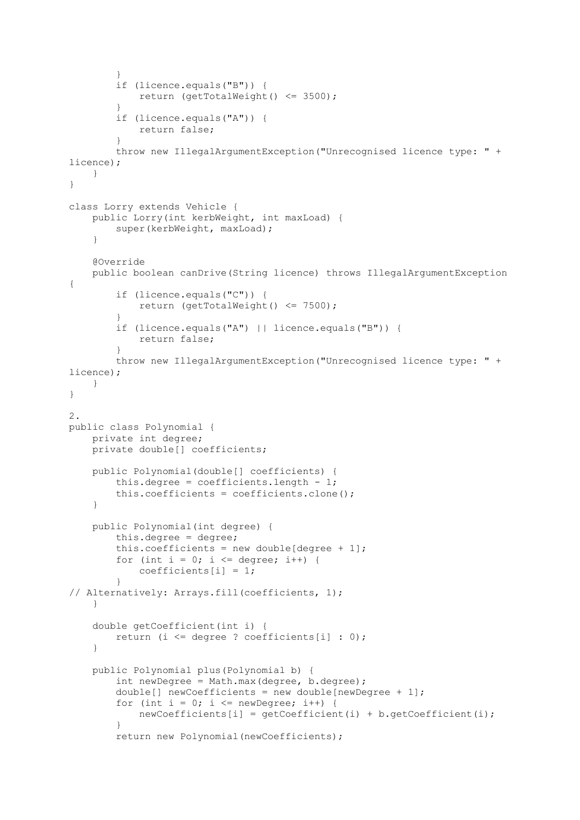```
 }
         if (licence.equals("B")) {
            return (getTotalWeight() <= 3500);
 }
         if (licence.equals("A")) {
            return false;
 }
         throw new IllegalArgumentException("Unrecognised licence type: " + 
licence);
     }
}
class Lorry extends Vehicle {
    public Lorry(int kerbWeight, int maxLoad) {
       super(kerbWeight, maxLoad);
     }
     @Override
    public boolean canDrive(String licence) throws IllegalArgumentException 
{
         if (licence.equals("C")) {
            return (getTotalWeight() <= 7500);
 }
         if (licence.equals("A") || licence.equals("B")) {
            return false;
 }
         throw new IllegalArgumentException("Unrecognised licence type: " + 
licence);
    }
}
2.
public class Polynomial {
    private int degree;
    private double[] coefficients;
     public Polynomial(double[] coefficients) {
        this.degree = coefficients.length - 1; this.coefficients = coefficients.clone();
     }
     public Polynomial(int degree) {
         this.degree = degree;
        this.coefficients = new double[deqree + 1];
        for (int i = 0; i \leq 0 degree; i++) {
           coefficients[i] = 1; }
// Alternatively: Arrays.fill(coefficients, 1);
     }
     double getCoefficient(int i) {
         return (i <= degree ? coefficients[i] : 0);
 }
    public Polynomial plus(Polynomial b) {
         int newDegree = Math.max(degree, b.degree);
        double[] newCoefficients = new double[newDegree + 1];
        for (int i = 0; i \leq newDegree; i++) {
            newCoefficients[i] = getCoefficient(i) + b.getCoefficient(i);
 }
         return new Polynomial(newCoefficients);
```